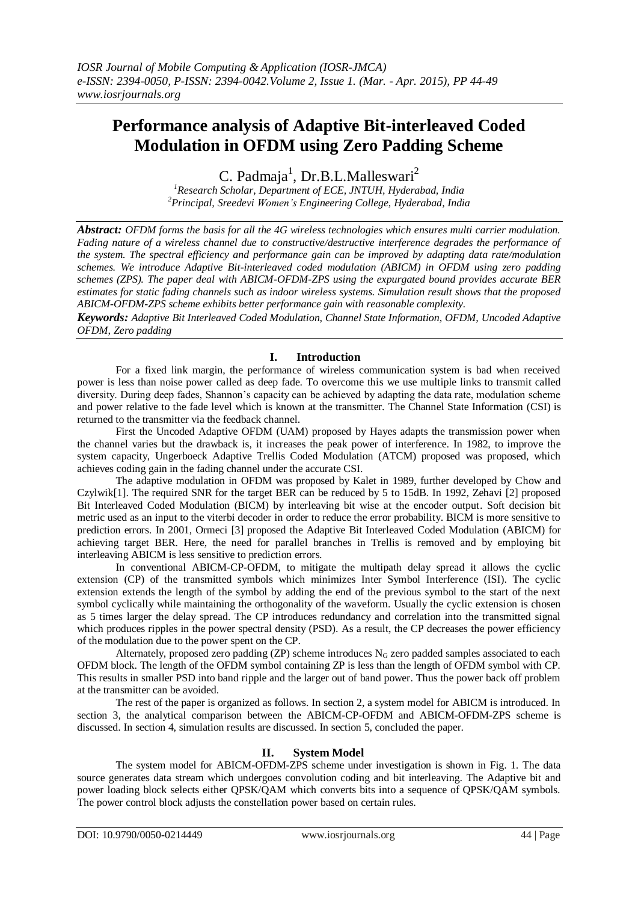# **Performance analysis of Adaptive Bit-interleaved Coded Modulation in OFDM using Zero Padding Scheme**

C. Padmaja<sup>1</sup>, Dr.B.L.Malleswari<sup>2</sup>

*<sup>1</sup>Research Scholar, Department of ECE, JNTUH, Hyderabad, India <sup>2</sup>Principal, Sreedevi Women's Engineering College, Hyderabad, India*

*Abstract: OFDM forms the basis for all the 4G wireless technologies which ensures multi carrier modulation. Fading nature of a wireless channel due to constructive/destructive interference degrades the performance of the system. The spectral efficiency and performance gain can be improved by adapting data rate/modulation schemes. We introduce Adaptive Bit-interleaved coded modulation (ABICM) in OFDM using zero padding schemes (ZPS). The paper deal with ABICM-OFDM-ZPS using the expurgated bound provides accurate BER estimates for static fading channels such as indoor wireless systems. Simulation result shows that the proposed ABICM-OFDM-ZPS scheme exhibits better performance gain with reasonable complexity.*

*Keywords: Adaptive Bit Interleaved Coded Modulation, Channel State Information, OFDM, Uncoded Adaptive OFDM, Zero padding*

# **I. Introduction**

For a fixed link margin, the performance of wireless communication system is bad when received power is less than noise power called as deep fade. To overcome this we use multiple links to transmit called diversity. During deep fades, Shannon's capacity can be achieved by adapting the data rate, modulation scheme and power relative to the fade level which is known at the transmitter. The Channel State Information (CSI) is returned to the transmitter via the feedback channel.

First the Uncoded Adaptive OFDM (UAM) proposed by Hayes adapts the transmission power when the channel varies but the drawback is, it increases the peak power of interference. In 1982, to improve the system capacity, Ungerboeck Adaptive Trellis Coded Modulation (ATCM) proposed was proposed, which achieves coding gain in the fading channel under the accurate CSI.

The adaptive modulation in OFDM was proposed by Kalet in 1989, further developed by Chow and Czylwik[1]. The required SNR for the target BER can be reduced by 5 to 15dB. In 1992, Zehavi [2] proposed Bit Interleaved Coded Modulation (BICM) by interleaving bit wise at the encoder output. Soft decision bit metric used as an input to the viterbi decoder in order to reduce the error probability. BICM is more sensitive to prediction errors. In 2001, Ormeci [3] proposed the Adaptive Bit Interleaved Coded Modulation (ABICM) for achieving target BER. Here, the need for parallel branches in Trellis is removed and by employing bit interleaving ABICM is less sensitive to prediction errors.

In conventional ABICM-CP-OFDM, to mitigate the multipath delay spread it allows the cyclic extension (CP) of the transmitted symbols which minimizes Inter Symbol Interference (ISI). The cyclic extension extends the length of the symbol by adding the end of the previous symbol to the start of the next symbol cyclically while maintaining the orthogonality of the waveform. Usually the cyclic extension is chosen as 5 times larger the delay spread. The CP introduces redundancy and correlation into the transmitted signal which produces ripples in the power spectral density (PSD). As a result, the CP decreases the power efficiency of the modulation due to the power spent on the CP.

Alternately, proposed zero padding (ZP) scheme introduces  $N_G$  zero padded samples associated to each OFDM block. The length of the OFDM symbol containing ZP is less than the length of OFDM symbol with CP. This results in smaller PSD into band ripple and the larger out of band power. Thus the power back off problem at the transmitter can be avoided.

The rest of the paper is organized as follows. In section 2, a system model for ABICM is introduced. In section 3, the analytical comparison between the ABICM-CP-OFDM and ABICM-OFDM-ZPS scheme is discussed. In section 4, simulation results are discussed. In section 5, concluded the paper.

# **II. System Model**

The system model for ABICM-OFDM-ZPS scheme under investigation is shown in Fig. 1. The data source generates data stream which undergoes convolution coding and bit interleaving. The Adaptive bit and power loading block selects either QPSK/QAM which converts bits into a sequence of QPSK/QAM symbols. The power control block adjusts the constellation power based on certain rules.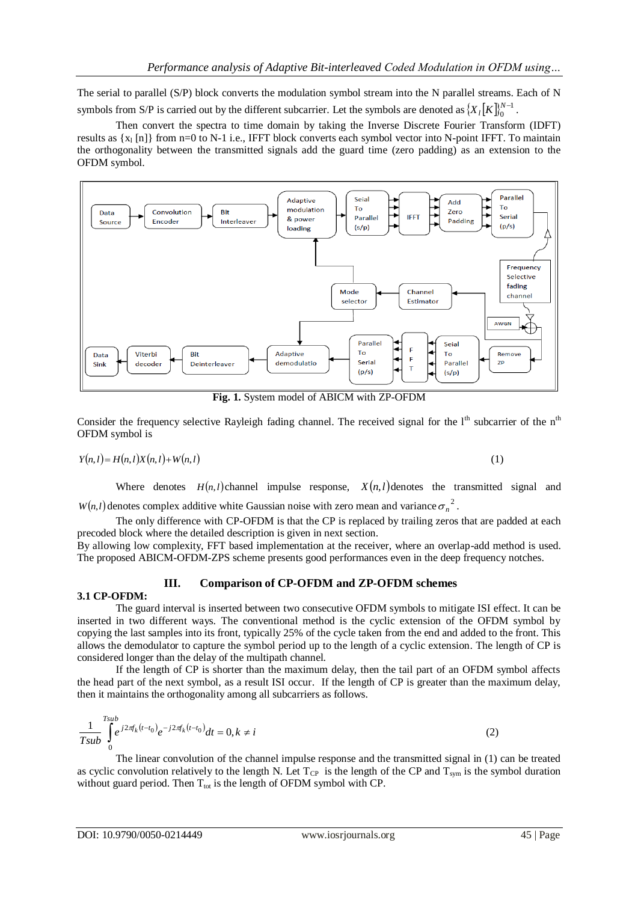The serial to parallel (S/P) block converts the modulation symbol stream into the N parallel streams. Each of N symbols from S/P is carried out by the different subcarrier. Let the symbols are denoted as  $\{X_i[K]\}_{i=1}^{N-1}$ 0  $X_{l}[K]_{0}^{N-1}$ .

Then convert the spectra to time domain by taking the Inverse Discrete Fourier Transform (IDFT) results as  $\{x_i \in \mathbb{R}\}$  from n=0 to N-1 i.e., IFFT block converts each symbol vector into N-point IFFT. To maintain the orthogonality between the transmitted signals add the guard time (zero padding) as an extension to the OFDM symbol.



**Fig. 1.** System model of ABICM with ZP-OFDM

Consider the frequency selective Rayleigh fading channel. The received signal for the 1<sup>th</sup> subcarrier of the n<sup>th</sup> OFDM symbol is

$$
Y(n,l) = H(n,l)X(n,l) + W(n,l)
$$
\n(1)

Where denotes  $H(n, l)$  channel impulse response,  $X(n, l)$  denotes the transmitted signal and  $W(n,l)$  denotes complex additive white Gaussian noise with zero mean and variance  $\sigma_n^2$ .

The only difference with CP-OFDM is that the CP is replaced by trailing zeros that are padded at each precoded block where the detailed description is given in next section.

By allowing low complexity, FFT based implementation at the receiver, where an overlap-add method is used. The proposed ABICM-OFDM-ZPS scheme presents good performances even in the deep frequency notches.

# **III. Comparison of CP-OFDM and ZP-OFDM schemes**

#### **3.1 CP-OFDM:**

The guard interval is inserted between two consecutive OFDM symbols to mitigate ISI effect. It can be inserted in two different ways. The conventional method is the cyclic extension of the OFDM symbol by copying the last samples into its front, typically 25% of the cycle taken from the end and added to the front. This allows the demodulator to capture the symbol period up to the length of a cyclic extension. The length of CP is considered longer than the delay of the multipath channel.

If the length of CP is shorter than the maximum delay, then the tail part of an OFDM symbol affects the head part of the next symbol, as a result ISI occur. If the length of CP is greater than the maximum delay, then it maintains the orthogonality among all subcarriers as follows.

$$
\frac{1}{Tsub} \int_{0}^{Tsub} e^{j2\pi f_k(t-t_0)} e^{-j2\pi f_k(t-t_0)} dt = 0, k \neq i
$$
 (2)

The linear convolution of the channel impulse response and the transmitted signal in (1) can be treated as cyclic convolution relatively to the length N. Let  $T_{CP}$  is the length of the CP and  $T_{sym}$  is the symbol duration without guard period. Then  $T_{\text{tot}}$  is the length of OFDM symbol with CP.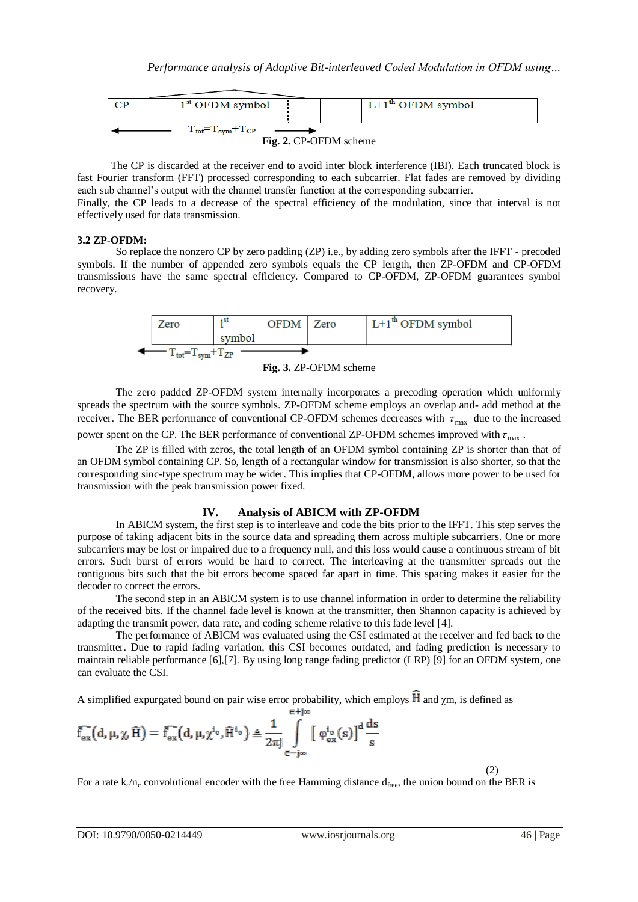

The CP is discarded at the receiver end to avoid inter block interference (IBI). Each truncated block is fast Fourier transform (FFT) processed corresponding to each subcarrier. Flat fades are removed by dividing each sub channel's output with the channel transfer function at the corresponding subcarrier.

Finally, the CP leads to a decrease of the spectral efficiency of the modulation, since that interval is not effectively used for data transmission.

## **3.2 ZP-OFDM:**

So replace the nonzero CP by zero padding (ZP) i.e., by adding zero symbols after the IFFT - precoded symbols. If the number of appended zero symbols equals the CP length, then ZP-OFDM and CP-OFDM transmissions have the same spectral efficiency. Compared to CP-OFDM, ZP-OFDM guarantees symbol recovery.



**Fig. 3.** ZP-OFDM scheme

The zero padded ZP-OFDM system internally incorporates a precoding operation which uniformly spreads the spectrum with the source symbols. ZP-OFDM scheme employs an overlap and- add method at the receiver. The BER performance of conventional CP-OFDM schemes decreases with  $\tau_{\text{max}}$  due to the increased power spent on the CP. The BER performance of conventional ZP-OFDM schemes improved with  $\tau_{\text{max}}$ .

The ZP is filled with zeros, the total length of an OFDM symbol containing ZP is shorter than that of an OFDM symbol containing CP. So, length of a rectangular window for transmission is also shorter, so that the corresponding sinc-type spectrum may be wider. This implies that CP-OFDM, allows more power to be used for transmission with the peak transmission power fixed.

# **IV. Analysis of ABICM with ZP-OFDM**

In ABICM system, the first step is to interleave and code the bits prior to the IFFT. This step serves the purpose of taking adjacent bits in the source data and spreading them across multiple subcarriers. One or more subcarriers may be lost or impaired due to a frequency null, and this loss would cause a continuous stream of bit errors. Such burst of errors would be hard to correct. The interleaving at the transmitter spreads out the contiguous bits such that the bit errors become spaced far apart in time. This spacing makes it easier for the decoder to correct the errors.

The second step in an ABICM system is to use channel information in order to determine the reliability of the received bits. If the channel fade level is known at the transmitter, then Shannon capacity is achieved by adapting the transmit power, data rate, and coding scheme relative to this fade level [4].

The performance of ABICM was evaluated using the CSI estimated at the receiver and fed back to the transmitter. Due to rapid fading variation, this CSI becomes outdated, and fading prediction is necessary to maintain reliable performance [6],[7]. By using long range fading predictor (LRP) [9] for an OFDM system, one can evaluate the CSI.

A simplified expurgated bound on pair wise error probability, which employs  $\hat{H}$  and  $\gamma$ m, is defined as  $= 4$ im

$$
\bar{f}_{ex}^{\frown}\big(d,\mu,\chi,\widehat{H}\big)=\bar{f}_{ex}^{\frown}\big(d,\mu,\chi^{i_0},\widehat{H}^{i_0}\big)\triangleq\frac{1}{2\pi j}\int\limits_{\in -j\infty}^{\longleftarrow}\big[\phi^{i_0}_{ex}(s)\big]^{d}\frac{ds}{s}
$$

 $(2)$ 

For a rate  $k_0/n_c$  convolutional encoder with the free Hamming distance  $d_{free}$ , the union bound on the BER is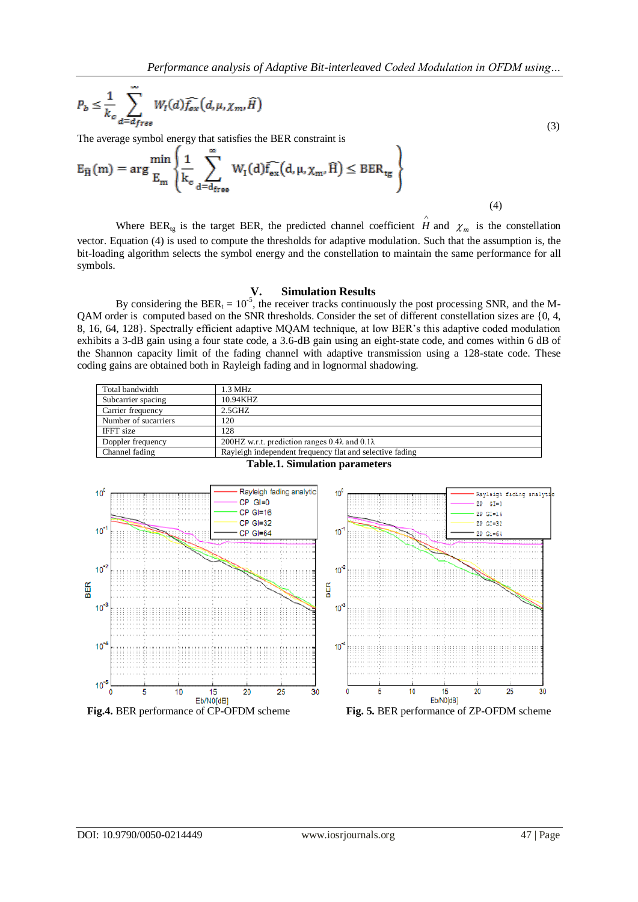$$
P_b \leq \frac{1}{k_c} \sum_{d=d_{free}}^{\infty} W_I(d) \widehat{f_{ex}}(d, \mu, \chi_m, \widehat{H})
$$

 (3) The average symbol energy that satisfies the BER constraint is

$$
E_{\widehat{H}}(m) = \arg\frac{\min}{E_m} \left\{ \frac{1}{k_c} \sum_{d=d_{\text{free}}}^{\infty} W_I(d) \widehat{f_{ex}}(d, \mu, \chi_m, \widehat{H}) \leq BER_{tg} \right\}
$$
(4)

Where BER<sub>tg</sub> is the target BER, the predicted channel coefficient *H* and  $\chi_m$  is the constellation  $\wedge$ vector. Equation (4) is used to compute the thresholds for adaptive modulation. Such that the assumption is, the bit-loading algorithm selects the symbol energy and the constellation to maintain the same performance for all symbols.

#### **V. Simulation Results**

By considering the BER<sub>t</sub> =  $10^{-5}$ , the receiver tracks continuously the post processing SNR, and the M-QAM order is computed based on the SNR thresholds. Consider the set of different constellation sizes are {0, 4, 8, 16, 64, 128}. Spectrally efficient adaptive MQAM technique, at low BER's this adaptive coded modulation exhibits a 3-dB gain using a four state code, a 3.6-dB gain using an eight-state code, and comes within 6 dB of the Shannon capacity limit of the fading channel with adaptive transmission using a 128-state code. These coding gains are obtained both in Rayleigh fading and in lognormal shadowing.

| Total bandwidth      | $1.3 \text{ MHz}$                                            |
|----------------------|--------------------------------------------------------------|
| Subcarrier spacing   | 10.94KHZ                                                     |
| Carrier frequency    | $2.5$ GHZ                                                    |
| Number of sucarriers | 120                                                          |
| <b>IFFT</b> size     | 128                                                          |
| Doppler frequency    | 200HZ w.r.t. prediction ranges $0.4\lambda$ and $0.1\lambda$ |
| Channel fading       | Rayleigh independent frequency flat and selective fading     |



**Table.1. Simulation parameters**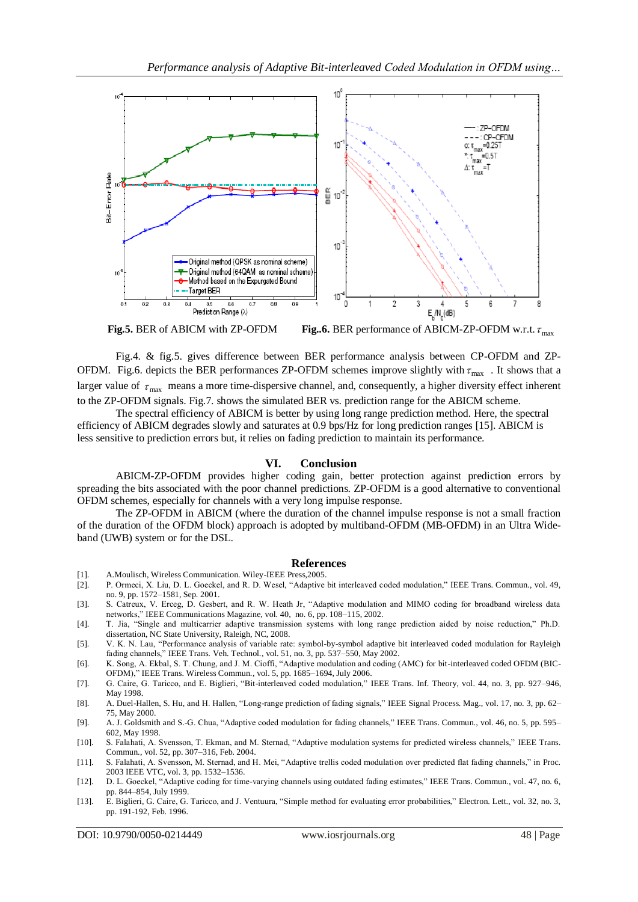

**Fig.5.** BER of ABICM with ZP-OFDM **Fig..6.** BER performance of ABICM-ZP-OFDM w.r.t.  $\tau_{\text{max}}$ 

Fig.4. & fig.5. gives difference between BER performance analysis between CP-OFDM and ZP-OFDM. Fig.6. depicts the BER performances ZP-OFDM schemes improve slightly with  $\tau_{\text{max}}$ . It shows that a larger value of  $\tau_{\text{max}}$  means a more time-dispersive channel, and, consequently, a higher diversity effect inherent to the ZP-OFDM signals. Fig.7. shows the simulated BER vs. prediction range for the ABICM scheme.

The spectral efficiency of ABICM is better by using long range prediction method. Here, the spectral efficiency of ABICM degrades slowly and saturates at 0.9 bps/Hz for long prediction ranges [15]. ABICM is less sensitive to prediction errors but, it relies on fading prediction to maintain its performance.

### **VI. Conclusion**

ABICM-ZP-OFDM provides higher coding gain, better protection against prediction errors by spreading the bits associated with the poor channel predictions. ZP-OFDM is a good alternative to conventional OFDM schemes, especially for channels with a very long impulse response.

The ZP-OFDM in ABICM (where the duration of the channel impulse response is not a small fraction of the duration of the OFDM block) approach is adopted by multiband-OFDM (MB-OFDM) in an Ultra Wideband (UWB) system or for the DSL.

#### **References**

- [1]. A.Moulisch, Wireless Communication. Wiley-IEEE Press,2005.
- [2]. P. Ormeci, X. Liu, D. L. Goeckel, and R. D. Wesel, "Adaptive bit interleaved coded modulation," IEEE Trans. Commun., vol. 49, no. 9, pp. 1572–1581, Sep. 2001.
- [3]. S. Catreux, V. Erceg, D. Gesbert, and R. W. Heath Jr, "Adaptive modulation and MIMO coding for broadband wireless data networks," IEEE Communications Magazine, vol. 40, no. 6, pp. 108–115, 2002.
- [4]. T. Jia, "Single and multicarrier adaptive transmission systems with long range prediction aided by noise reduction," Ph.D. dissertation, NC State University, Raleigh, NC, 2008.
- [5]. V. K. N. Lau, "Performance analysis of variable rate: symbol-by-symbol adaptive bit interleaved coded modulation for Rayleigh fading channels," IEEE Trans. Veh. Technol., vol. 51, no. 3, pp. 537–550, May 2002.
- [6]. K. Song, A. Ekbal, S. T. Chung, and J. M. Cioffi, "Adaptive modulation and coding (AMC) for bit-interleaved coded OFDM (BIC-OFDM)," IEEE Trans. Wireless Commun., vol. 5, pp. 1685–1694, July 2006.
- [7]. G. Caire, G. Taricco, and E. Biglieri, "Bit-interleaved coded modulation," IEEE Trans. Inf. Theory, vol. 44, no. 3, pp. 927–946, May 1998.
- [8]. A. Duel-Hallen, S. Hu, and H. Hallen, "Long-range prediction of fading signals," IEEE Signal Process. Mag., vol. 17, no. 3, pp. 62– 75, May 2000.
- [9]. A. J. Goldsmith and S.-G. Chua, "Adaptive coded modulation for fading channels," IEEE Trans. Commun., vol. 46, no. 5, pp. 595– 602, May 1998.
- [10]. S. Falahati, A. Svensson, T. Ekman, and M. Sternad, "Adaptive modulation systems for predicted wireless channels," IEEE Trans. Commun., vol. 52, pp. 307–316, Feb. 2004.
- [11]. S. Falahati, A. Svensson, M. Sternad, and H. Mei, "Adaptive trellis coded modulation over predicted flat fading channels," in Proc. 2003 IEEE VTC, vol. 3, pp. 1532–1536.
- [12]. D. L. Goeckel, "Adaptive coding for time-varying channels using outdated fading estimates," IEEE Trans. Commun., vol. 47, no. 6, pp. 844–854, July 1999.
- [13]. E. Biglieri, G. Caire, G. Taricco, and J. Ventuura, "Simple method for evaluating error probabilities," Electron. Lett., vol. 32, no. 3, pp. 191-192, Feb. 1996.